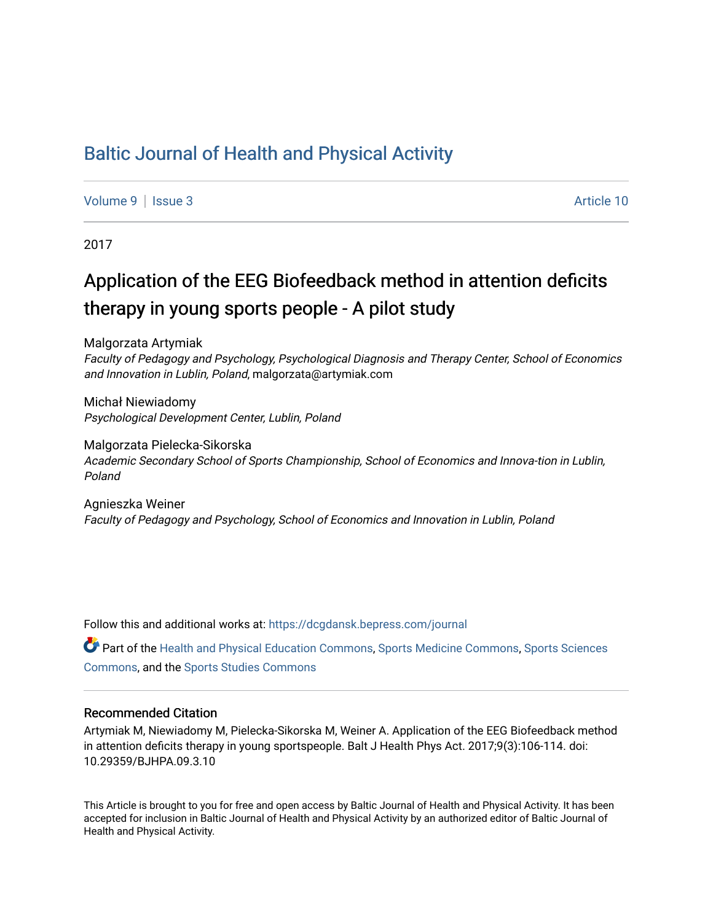## [Baltic Journal of Health and Physical Activity](https://dcgdansk.bepress.com/journal)

[Volume 9](https://dcgdansk.bepress.com/journal/vol9) | [Issue 3](https://dcgdansk.bepress.com/journal/vol9/iss3) Article 10

2017

# Application of the EEG Biofeedback method in attention deficits therapy in young sports people - A pilot study

Malgorzata Artymiak

Faculty of Pedagogy and Psychology, Psychological Diagnosis and Therapy Center, School of Economics and Innovation in Lublin, Poland, malgorzata@artymiak.com

Michał Niewiadomy Psychological Development Center, Lublin, Poland

Malgorzata Pielecka-Sikorska Academic Secondary School of Sports Championship, School of Economics and Innova-tion in Lublin, Poland

Agnieszka Weiner Faculty of Pedagogy and Psychology, School of Economics and Innovation in Lublin, Poland

Follow this and additional works at: [https://dcgdansk.bepress.com/journal](https://dcgdansk.bepress.com/journal?utm_source=dcgdansk.bepress.com%2Fjournal%2Fvol9%2Fiss3%2F10&utm_medium=PDF&utm_campaign=PDFCoverPages)

Part of the [Health and Physical Education Commons](http://network.bepress.com/hgg/discipline/1327?utm_source=dcgdansk.bepress.com%2Fjournal%2Fvol9%2Fiss3%2F10&utm_medium=PDF&utm_campaign=PDFCoverPages), [Sports Medicine Commons,](http://network.bepress.com/hgg/discipline/1331?utm_source=dcgdansk.bepress.com%2Fjournal%2Fvol9%2Fiss3%2F10&utm_medium=PDF&utm_campaign=PDFCoverPages) [Sports Sciences](http://network.bepress.com/hgg/discipline/759?utm_source=dcgdansk.bepress.com%2Fjournal%2Fvol9%2Fiss3%2F10&utm_medium=PDF&utm_campaign=PDFCoverPages) [Commons](http://network.bepress.com/hgg/discipline/759?utm_source=dcgdansk.bepress.com%2Fjournal%2Fvol9%2Fiss3%2F10&utm_medium=PDF&utm_campaign=PDFCoverPages), and the [Sports Studies Commons](http://network.bepress.com/hgg/discipline/1198?utm_source=dcgdansk.bepress.com%2Fjournal%2Fvol9%2Fiss3%2F10&utm_medium=PDF&utm_campaign=PDFCoverPages) 

#### Recommended Citation

Artymiak M, Niewiadomy M, Pielecka-Sikorska M, Weiner A. Application of the EEG Biofeedback method in attention deficits therapy in young sportspeople. Balt J Health Phys Act. 2017;9(3):106-114. doi: 10.29359/BJHPA.09.3.10

This Article is brought to you for free and open access by Baltic Journal of Health and Physical Activity. It has been accepted for inclusion in Baltic Journal of Health and Physical Activity by an authorized editor of Baltic Journal of Health and Physical Activity.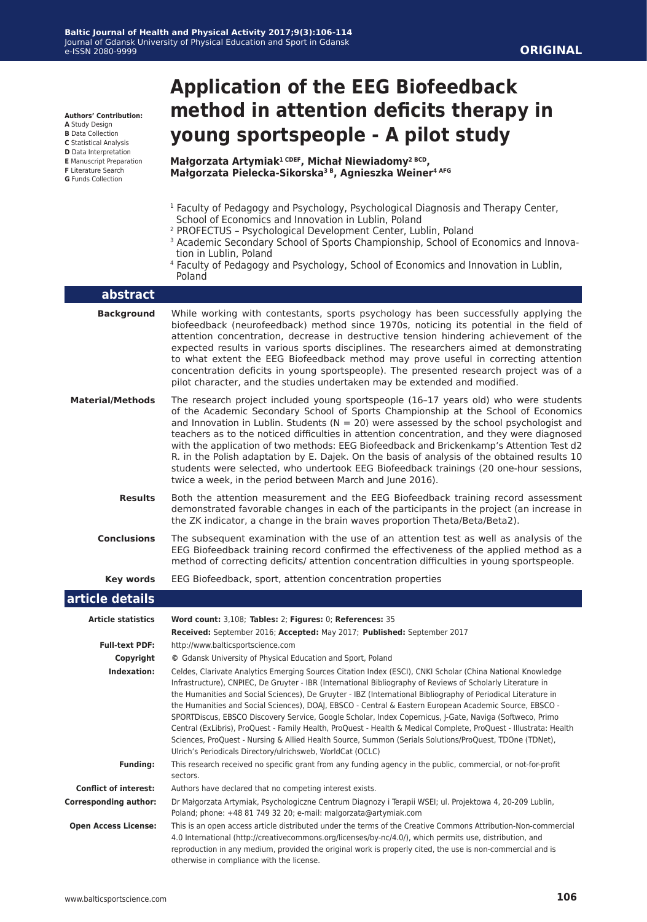**Authors' Contribution:**

- **A** Study Design
- **B** Data Collection
- **C** Statistical Analysis
- **D** Data Interpretation **E** Manuscript Preparation
- **F** Literature Search
- **G** Funds Collection

# **Application of the EEG Biofeedback method in attention deficits therapy in young sportspeople - A pilot study**

**Małgorzata Artymiak1 CDEF, Michał Niewiadomy2 BCD, Małgorzata Pielecka-Sikorska3 B, Agnieszka Weiner4 AFG**

- <sup>1</sup> Faculty of Pedagogy and Psychology, Psychological Diagnosis and Therapy Center, School of Economics and Innovation in Lublin, Poland
- 2 PROFECTUS Psychological Development Center, Lublin, Poland
- <sup>3</sup> Academic Secondary School of Sports Championship, School of Economics and Innovation in Lublin, Poland
- <sup>4</sup> Faculty of Pedagogy and Psychology, School of Economics and Innovation in Lublin, Poland

| abstract                     |                                                                                                                                                                                                                                                                                                                                                                                                                                                                                                                                                                                                                                                                                                                                                                                                                                                               |
|------------------------------|---------------------------------------------------------------------------------------------------------------------------------------------------------------------------------------------------------------------------------------------------------------------------------------------------------------------------------------------------------------------------------------------------------------------------------------------------------------------------------------------------------------------------------------------------------------------------------------------------------------------------------------------------------------------------------------------------------------------------------------------------------------------------------------------------------------------------------------------------------------|
| <b>Background</b>            | While working with contestants, sports psychology has been successfully applying the<br>biofeedback (neurofeedback) method since 1970s, noticing its potential in the field of<br>attention concentration, decrease in destructive tension hindering achievement of the<br>expected results in various sports disciplines. The researchers aimed at demonstrating<br>to what extent the EEG Biofeedback method may prove useful in correcting attention<br>concentration deficits in young sportspeople). The presented research project was of a<br>pilot character, and the studies undertaken may be extended and modified.                                                                                                                                                                                                                                |
| <b>Material/Methods</b>      | The research project included young sportspeople (16-17 years old) who were students<br>of the Academic Secondary School of Sports Championship at the School of Economics<br>and Innovation in Lublin. Students ( $N = 20$ ) were assessed by the school psychologist and<br>teachers as to the noticed difficulties in attention concentration, and they were diagnosed<br>with the application of two methods: EEG Biofeedback and Brickenkamp's Attention Test d2<br>R. in the Polish adaptation by E. Dajek. On the basis of analysis of the obtained results 10<br>students were selected, who undertook EEG Biofeedback trainings (20 one-hour sessions,<br>twice a week, in the period between March and June 2016).                                                                                                                                  |
| <b>Results</b>               | Both the attention measurement and the EEG Biofeedback training record assessment<br>demonstrated favorable changes in each of the participants in the project (an increase in<br>the ZK indicator, a change in the brain waves proportion Theta/Beta/Beta2).                                                                                                                                                                                                                                                                                                                                                                                                                                                                                                                                                                                                 |
| <b>Conclusions</b>           | The subsequent examination with the use of an attention test as well as analysis of the<br>EEG Biofeedback training record confirmed the effectiveness of the applied method as a<br>method of correcting deficits/ attention concentration difficulties in young sportspeople.                                                                                                                                                                                                                                                                                                                                                                                                                                                                                                                                                                               |
|                              |                                                                                                                                                                                                                                                                                                                                                                                                                                                                                                                                                                                                                                                                                                                                                                                                                                                               |
| Key words                    | EEG Biofeedback, sport, attention concentration properties                                                                                                                                                                                                                                                                                                                                                                                                                                                                                                                                                                                                                                                                                                                                                                                                    |
| article details              |                                                                                                                                                                                                                                                                                                                                                                                                                                                                                                                                                                                                                                                                                                                                                                                                                                                               |
| <b>Article statistics</b>    | Word count: 3,108; Tables: 2; Figures: 0; References: 35                                                                                                                                                                                                                                                                                                                                                                                                                                                                                                                                                                                                                                                                                                                                                                                                      |
|                              | Received: September 2016; Accepted: May 2017; Published: September 2017                                                                                                                                                                                                                                                                                                                                                                                                                                                                                                                                                                                                                                                                                                                                                                                       |
| <b>Full-text PDF:</b>        | http://www.balticsportscience.com                                                                                                                                                                                                                                                                                                                                                                                                                                                                                                                                                                                                                                                                                                                                                                                                                             |
| Copyright                    | © Gdansk University of Physical Education and Sport, Poland                                                                                                                                                                                                                                                                                                                                                                                                                                                                                                                                                                                                                                                                                                                                                                                                   |
| Indexation:                  | Celdes, Clarivate Analytics Emerging Sources Citation Index (ESCI), CNKI Scholar (China National Knowledge<br>Infrastructure), CNPIEC, De Gruyter - IBR (International Bibliography of Reviews of Scholarly Literature in<br>the Humanities and Social Sciences), De Gruyter - IBZ (International Bibliography of Periodical Literature in<br>the Humanities and Social Sciences), DOAJ, EBSCO - Central & Eastern European Academic Source, EBSCO -<br>SPORTDiscus, EBSCO Discovery Service, Google Scholar, Index Copernicus, J-Gate, Naviga (Softweco, Primo<br>Central (ExLibris), ProQuest - Family Health, ProQuest - Health & Medical Complete, ProQuest - Illustrata: Health<br>Sciences, ProQuest - Nursing & Allied Health Source, Summon (Serials Solutions/ProQuest, TDOne (TDNet),<br>Ulrich's Periodicals Directory/ulrichsweb, WorldCat (OCLC) |
| <b>Funding:</b>              | This research received no specific grant from any funding agency in the public, commercial, or not-for-profit<br>sectors.                                                                                                                                                                                                                                                                                                                                                                                                                                                                                                                                                                                                                                                                                                                                     |
| <b>Conflict of interest:</b> | Authors have declared that no competing interest exists.                                                                                                                                                                                                                                                                                                                                                                                                                                                                                                                                                                                                                                                                                                                                                                                                      |
| <b>Corresponding author:</b> | Dr Małgorzata Artymiak, Psychologiczne Centrum Diagnozy i Terapii WSEI; ul. Projektowa 4, 20-209 Lublin,<br>Poland; phone: +48 81 749 32 20; e-mail: malgorzata@artymiak.com                                                                                                                                                                                                                                                                                                                                                                                                                                                                                                                                                                                                                                                                                  |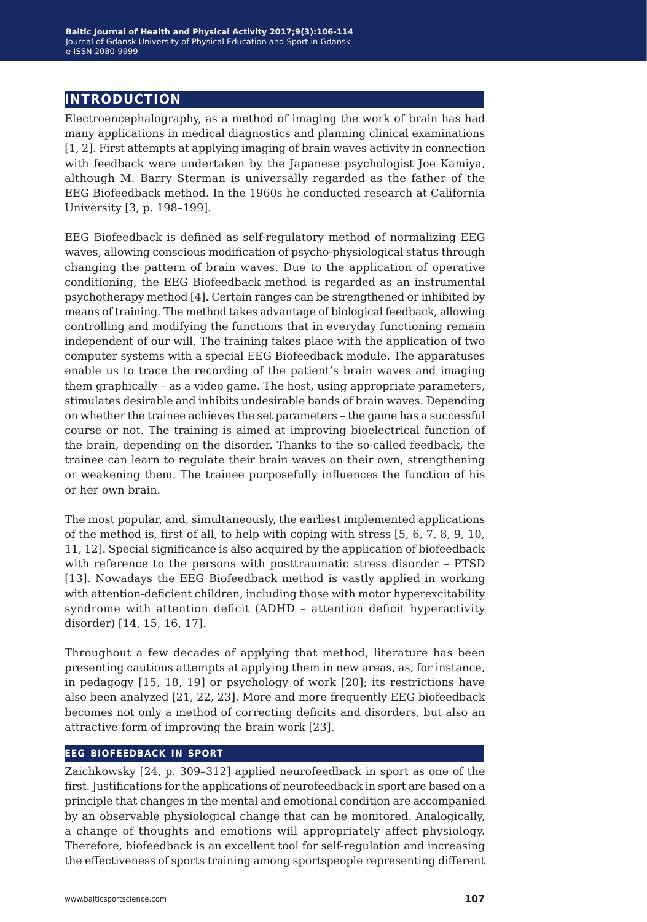## **introduction**

Electroencephalography, as a method of imaging the work of brain has had many applications in medical diagnostics and planning clinical examinations [1, 2]. First attempts at applying imaging of brain waves activity in connection with feedback were undertaken by the Japanese psychologist Joe Kamiya, although M. Barry Sterman is universally regarded as the father of the EEG Biofeedback method. In the 1960s he conducted research at California University [3, p. 198–199].

EEG Biofeedback is defined as self-regulatory method of normalizing EEG waves, allowing conscious modification of psycho-physiological status through changing the pattern of brain waves. Due to the application of operative conditioning, the EEG Biofeedback method is regarded as an instrumental psychotherapy method [4]. Certain ranges can be strengthened or inhibited by means of training. The method takes advantage of biological feedback, allowing controlling and modifying the functions that in everyday functioning remain independent of our will. The training takes place with the application of two computer systems with a special EEG Biofeedback module. The apparatuses enable us to trace the recording of the patient's brain waves and imaging them graphically – as a video game. The host, using appropriate parameters, stimulates desirable and inhibits undesirable bands of brain waves. Depending on whether the trainee achieves the set parameters – the game has a successful course or not. The training is aimed at improving bioelectrical function of the brain, depending on the disorder. Thanks to the so-called feedback, the trainee can learn to regulate their brain waves on their own, strengthening or weakening them. The trainee purposefully influences the function of his or her own brain.

The most popular, and, simultaneously, the earliest implemented applications of the method is, first of all, to help with coping with stress [5, 6, 7, 8, 9, 10, 11, 12]. Special significance is also acquired by the application of biofeedback with reference to the persons with posttraumatic stress disorder – PTSD [13]. Nowadays the EEG Biofeedback method is vastly applied in working with attention-deficient children, including those with motor hyperexcitability syndrome with attention deficit (ADHD – attention deficit hyperactivity disorder) [14, 15, 16, 17].

Throughout a few decades of applying that method, literature has been presenting cautious attempts at applying them in new areas, as, for instance, in pedagogy [15, 18, 19] or psychology of work [20]; its restrictions have also been analyzed [21, 22, 23]. More and more frequently EEG biofeedback becomes not only a method of correcting deficits and disorders, but also an attractive form of improving the brain work [23].

#### **eeg biofeedback in sport**

Zaichkowsky [24, p. 309–312] applied neurofeedback in sport as one of the first. Justifications for the applications of neurofeedback in sport are based on a principle that changes in the mental and emotional condition are accompanied by an observable physiological change that can be monitored. Analogically, a change of thoughts and emotions will appropriately affect physiology. Therefore, biofeedback is an excellent tool for self-regulation and increasing the effectiveness of sports training among sportspeople representing different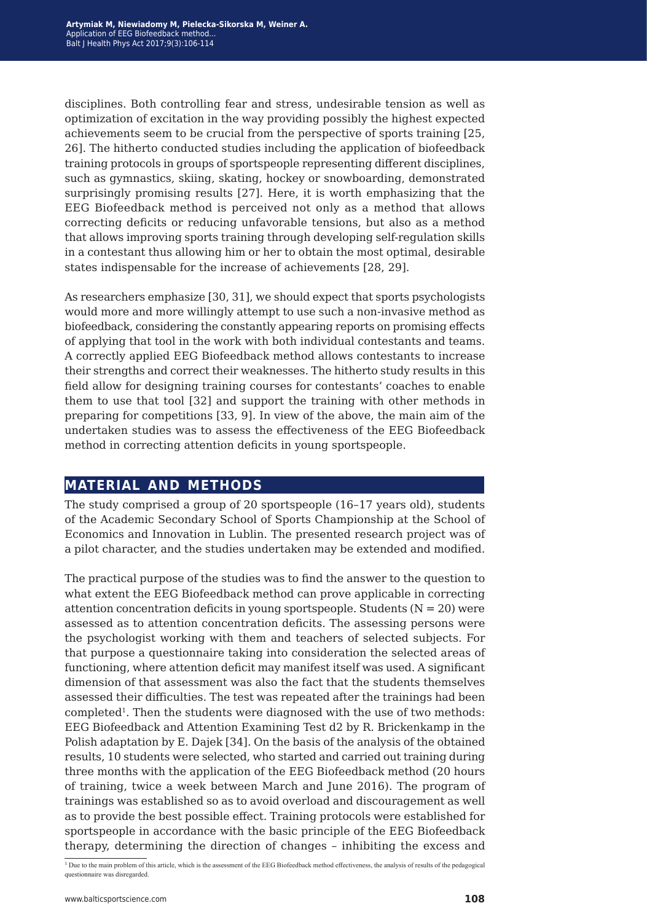disciplines. Both controlling fear and stress, undesirable tension as well as optimization of excitation in the way providing possibly the highest expected achievements seem to be crucial from the perspective of sports training [25, 26]. The hitherto conducted studies including the application of biofeedback training protocols in groups of sportspeople representing different disciplines, such as gymnastics, skiing, skating, hockey or snowboarding, demonstrated surprisingly promising results [27]. Here, it is worth emphasizing that the EEG Biofeedback method is perceived not only as a method that allows correcting deficits or reducing unfavorable tensions, but also as a method that allows improving sports training through developing self-regulation skills in a contestant thus allowing him or her to obtain the most optimal, desirable states indispensable for the increase of achievements [28, 29].

As researchers emphasize [30, 31], we should expect that sports psychologists would more and more willingly attempt to use such a non-invasive method as biofeedback, considering the constantly appearing reports on promising effects of applying that tool in the work with both individual contestants and teams. A correctly applied EEG Biofeedback method allows contestants to increase their strengths and correct their weaknesses. The hitherto study results in this field allow for designing training courses for contestants' coaches to enable them to use that tool [32] and support the training with other methods in preparing for competitions [33, 9]. In view of the above, the main aim of the undertaken studies was to assess the effectiveness of the EEG Biofeedback method in correcting attention deficits in young sportspeople.

### **material and methods**

The study comprised a group of 20 sportspeople (16–17 years old), students of the Academic Secondary School of Sports Championship at the School of Economics and Innovation in Lublin. The presented research project was of a pilot character, and the studies undertaken may be extended and modified.

The practical purpose of the studies was to find the answer to the question to what extent the EEG Biofeedback method can prove applicable in correcting attention concentration deficits in young sportspeople. Students  $(N = 20)$  were assessed as to attention concentration deficits. The assessing persons were the psychologist working with them and teachers of selected subjects. For that purpose a questionnaire taking into consideration the selected areas of functioning, where attention deficit may manifest itself was used. A significant dimension of that assessment was also the fact that the students themselves assessed their difficulties. The test was repeated after the trainings had been  $completed<sup>1</sup>$ . Then the students were diagnosed with the use of two methods: EEG Biofeedback and Attention Examining Test d2 by R. Brickenkamp in the Polish adaptation by E. Dajek [34]. On the basis of the analysis of the obtained results, 10 students were selected, who started and carried out training during three months with the application of the EEG Biofeedback method (20 hours of training, twice a week between March and June 2016). The program of trainings was established so as to avoid overload and discouragement as well as to provide the best possible effect. Training protocols were established for sportspeople in accordance with the basic principle of the EEG Biofeedback therapy, determining the direction of changes – inhibiting the excess and

<sup>&</sup>lt;sup>1</sup> Due to the main problem of this article, which is the assessment of the EEG Biofeedback method effectiveness, the analysis of results of the pedagogical questionnaire was disregarded.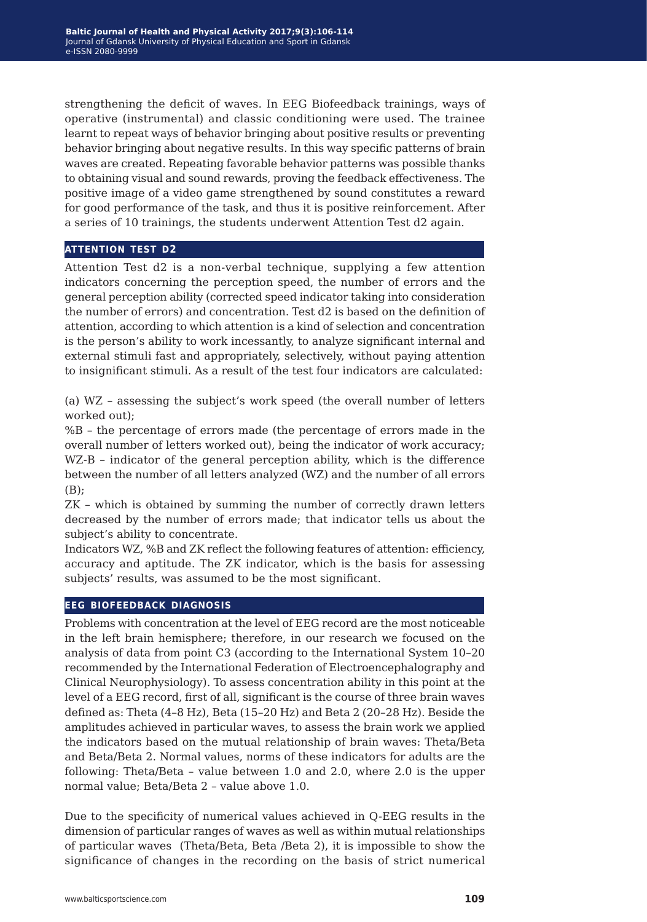strengthening the deficit of waves. In EEG Biofeedback trainings, ways of operative (instrumental) and classic conditioning were used. The trainee learnt to repeat ways of behavior bringing about positive results or preventing behavior bringing about negative results. In this way specific patterns of brain waves are created. Repeating favorable behavior patterns was possible thanks to obtaining visual and sound rewards, proving the feedback effectiveness. The positive image of a video game strengthened by sound constitutes a reward for good performance of the task, and thus it is positive reinforcement. After a series of 10 trainings, the students underwent Attention Test d2 again.

#### **attention test d2**

Attention Test d2 is a non-verbal technique, supplying a few attention indicators concerning the perception speed, the number of errors and the general perception ability (corrected speed indicator taking into consideration the number of errors) and concentration. Test d2 is based on the definition of attention, according to which attention is a kind of selection and concentration is the person's ability to work incessantly, to analyze significant internal and external stimuli fast and appropriately, selectively, without paying attention to insignificant stimuli. As a result of the test four indicators are calculated:

(a) WZ – assessing the subject's work speed (the overall number of letters worked out);

%B – the percentage of errors made (the percentage of errors made in the overall number of letters worked out), being the indicator of work accuracy; WZ-B – indicator of the general perception ability, which is the difference between the number of all letters analyzed (WZ) and the number of all errors (B);

ZK – which is obtained by summing the number of correctly drawn letters decreased by the number of errors made; that indicator tells us about the subject's ability to concentrate.

Indicators WZ, %B and ZK reflect the following features of attention: efficiency, accuracy and aptitude. The ZK indicator, which is the basis for assessing subjects' results, was assumed to be the most significant.

#### **eeg biofeedback diagnosis**

Problems with concentration at the level of EEG record are the most noticeable in the left brain hemisphere; therefore, in our research we focused on the analysis of data from point C3 (according to the International System 10–20 recommended by the International Federation of Electroencephalography and Clinical Neurophysiology). To assess concentration ability in this point at the level of a EEG record, first of all, significant is the course of three brain waves defined as: Theta (4–8 Hz), Beta (15–20 Hz) and Beta 2 (20–28 Hz). Beside the amplitudes achieved in particular waves, to assess the brain work we applied the indicators based on the mutual relationship of brain waves: Theta/Beta and Beta/Beta 2. Normal values, norms of these indicators for adults are the following: Theta/Beta – value between 1.0 and 2.0, where 2.0 is the upper normal value; Beta/Beta 2 – value above 1.0.

Due to the specificity of numerical values achieved in Q-EEG results in the dimension of particular ranges of waves as well as within mutual relationships of particular waves (Theta/Beta, Beta /Beta 2), it is impossible to show the significance of changes in the recording on the basis of strict numerical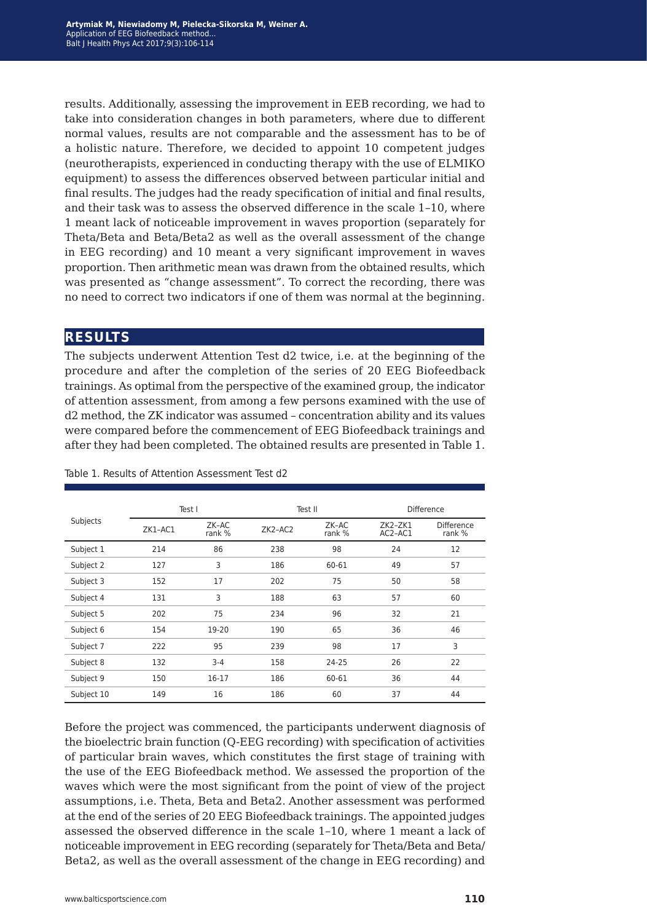results. Additionally, assessing the improvement in EEB recording, we had to take into consideration changes in both parameters, where due to different normal values, results are not comparable and the assessment has to be of a holistic nature. Therefore, we decided to appoint 10 competent judges (neurotherapists, experienced in conducting therapy with the use of ELMIKO equipment) to assess the differences observed between particular initial and final results. The judges had the ready specification of initial and final results, and their task was to assess the observed difference in the scale 1–10, where 1 meant lack of noticeable improvement in waves proportion (separately for Theta/Beta and Beta/Beta2 as well as the overall assessment of the change in EEG recording) and 10 meant a very significant improvement in waves proportion. Then arithmetic mean was drawn from the obtained results, which was presented as "change assessment". To correct the recording, there was no need to correct two indicators if one of them was normal at the beginning.

### **results**

The subjects underwent Attention Test d2 twice, i.e. at the beginning of the procedure and after the completion of the series of 20 EEG Biofeedback trainings. As optimal from the perspective of the examined group, the indicator of attention assessment, from among a few persons examined with the use of d2 method, the ZK indicator was assumed – concentration ability and its values were compared before the commencement of EEG Biofeedback trainings and after they had been completed. The obtained results are presented in Table 1.

| Subjects   | Test I  |                 | Test II   |                 | <b>Difference</b>    |                             |
|------------|---------|-----------------|-----------|-----------------|----------------------|-----------------------------|
|            | ZK1-AC1 | ZK-AC<br>rank % | $ZK2-AC2$ | ZK-AC<br>rank % | $ZK2-ZK1$<br>AC2-AC1 | <b>Difference</b><br>rank % |
| Subject 1  | 214     | 86              | 238       | 98              | 24                   | 12                          |
| Subject 2  | 127     | 3               | 186       | 60-61           | 49                   | 57                          |
| Subject 3  | 152     | 17              | 202       | 75              | 50                   | 58                          |
| Subject 4  | 131     | 3               | 188       | 63              | 57                   | 60                          |
| Subject 5  | 202     | 75              | 234       | 96              | 32                   | 21                          |
| Subject 6  | 154     | 19-20           | 190       | 65              | 36                   | 46                          |
| Subject 7  | 222     | 95              | 239       | 98              | 17                   | 3                           |
| Subject 8  | 132     | $3 - 4$         | 158       | 24-25           | 26                   | 22                          |
| Subject 9  | 150     | 16-17           | 186       | 60-61           | 36                   | 44                          |
| Subject 10 | 149     | 16              | 186       | 60              | 37                   | 44                          |

Table 1. Results of Attention Assessment Test d2

Before the project was commenced, the participants underwent diagnosis of the bioelectric brain function (Q-EEG recording) with specification of activities of particular brain waves, which constitutes the first stage of training with the use of the EEG Biofeedback method. We assessed the proportion of the waves which were the most significant from the point of view of the project assumptions, i.e. Theta, Beta and Beta2. Another assessment was performed at the end of the series of 20 EEG Biofeedback trainings. The appointed judges assessed the observed difference in the scale 1–10, where 1 meant a lack of noticeable improvement in EEG recording (separately for Theta/Beta and Beta/ Beta2, as well as the overall assessment of the change in EEG recording) and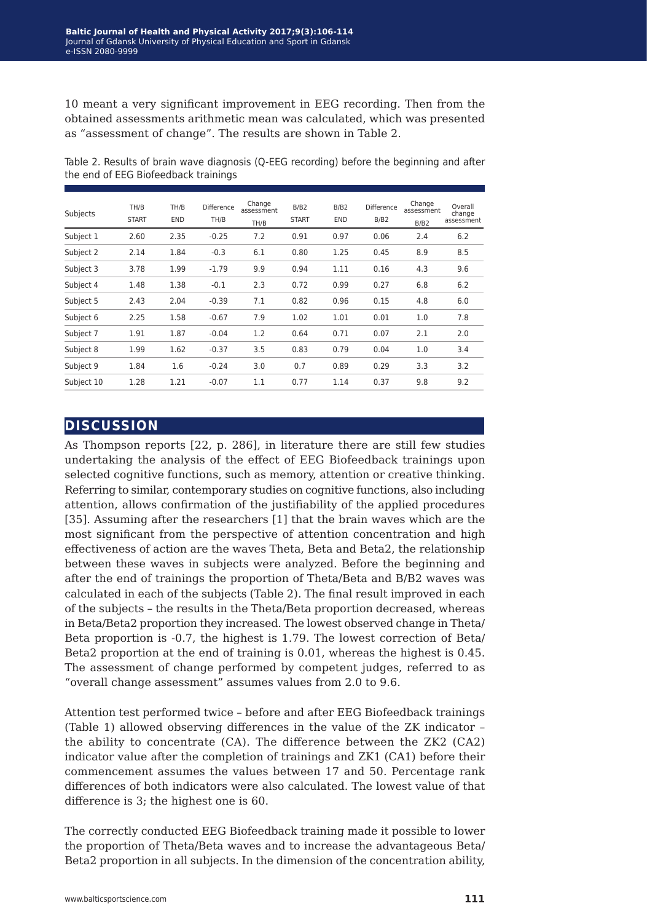10 meant a very significant improvement in EEG recording. Then from the obtained assessments arithmetic mean was calculated, which was presented as "assessment of change". The results are shown in Table 2.

| Subjects   | TH/B<br><b>START</b> | TH/B<br><b>END</b> | Difference<br>TH/B | Change<br>assessment<br>TH/B | B/B2<br><b>START</b> | B/B2<br><b>END</b> | Difference<br>B/B2 | Change<br>assessment<br>B/B2 | Overall<br>change<br>assessment |
|------------|----------------------|--------------------|--------------------|------------------------------|----------------------|--------------------|--------------------|------------------------------|---------------------------------|
| Subject 1  | 2.60                 | 2.35               | $-0.25$            | 7.2                          | 0.91                 | 0.97               | 0.06               | 2.4                          | 6.2                             |
| Subject 2  | 2.14                 | 1.84               | $-0.3$             | 6.1                          | 0.80                 | 1.25               | 0.45               | 8.9                          | 8.5                             |
| Subject 3  | 3.78                 | 1.99               | $-1.79$            | 9.9                          | 0.94                 | 1.11               | 0.16               | 4.3                          | 9.6                             |
| Subject 4  | 1.48                 | 1.38               | $-0.1$             | 2.3                          | 0.72                 | 0.99               | 0.27               | 6.8                          | 6.2                             |
| Subject 5  | 2.43                 | 2.04               | $-0.39$            | 7.1                          | 0.82                 | 0.96               | 0.15               | 4.8                          | 6.0                             |
| Subject 6  | 2.25                 | 1.58               | $-0.67$            | 7.9                          | 1.02                 | 1.01               | 0.01               | 1.0                          | 7.8                             |
| Subject 7  | 1.91                 | 1.87               | $-0.04$            | 1.2                          | 0.64                 | 0.71               | 0.07               | 2.1                          | 2.0                             |
| Subject 8  | 1.99                 | 1.62               | $-0.37$            | 3.5                          | 0.83                 | 0.79               | 0.04               | 1.0                          | 3.4                             |
| Subject 9  | 1.84                 | 1.6                | $-0.24$            | 3.0                          | 0.7                  | 0.89               | 0.29               | 3.3                          | 3.2                             |
| Subject 10 | 1.28                 | 1.21               | $-0.07$            | 1.1                          | 0.77                 | 1.14               | 0.37               | 9.8                          | 9.2                             |

Table 2. Results of brain wave diagnosis (Q-EEG recording) before the beginning and after the end of EEG Biofeedback trainings

## **discussion**

As Thompson reports [22, p. 286], in literature there are still few studies undertaking the analysis of the effect of EEG Biofeedback trainings upon selected cognitive functions, such as memory, attention or creative thinking. Referring to similar, contemporary studies on cognitive functions, also including attention, allows confirmation of the justifiability of the applied procedures [35]. Assuming after the researchers [1] that the brain waves which are the most significant from the perspective of attention concentration and high effectiveness of action are the waves Theta, Beta and Beta2, the relationship between these waves in subjects were analyzed. Before the beginning and after the end of trainings the proportion of Theta/Beta and B/B2 waves was calculated in each of the subjects (Table 2). The final result improved in each of the subjects – the results in the Theta/Beta proportion decreased, whereas in Beta/Beta2 proportion they increased. The lowest observed change in Theta/ Beta proportion is -0.7, the highest is 1.79. The lowest correction of Beta/ Beta2 proportion at the end of training is 0.01, whereas the highest is 0.45. The assessment of change performed by competent judges, referred to as "overall change assessment" assumes values from 2.0 to 9.6.

Attention test performed twice – before and after EEG Biofeedback trainings (Table 1) allowed observing differences in the value of the ZK indicator – the ability to concentrate (CA). The difference between the ZK2 (CA2) indicator value after the completion of trainings and ZK1 (CA1) before their commencement assumes the values between 17 and 50. Percentage rank differences of both indicators were also calculated. The lowest value of that difference is 3; the highest one is 60.

The correctly conducted EEG Biofeedback training made it possible to lower the proportion of Theta/Beta waves and to increase the advantageous Beta/ Beta2 proportion in all subjects. In the dimension of the concentration ability,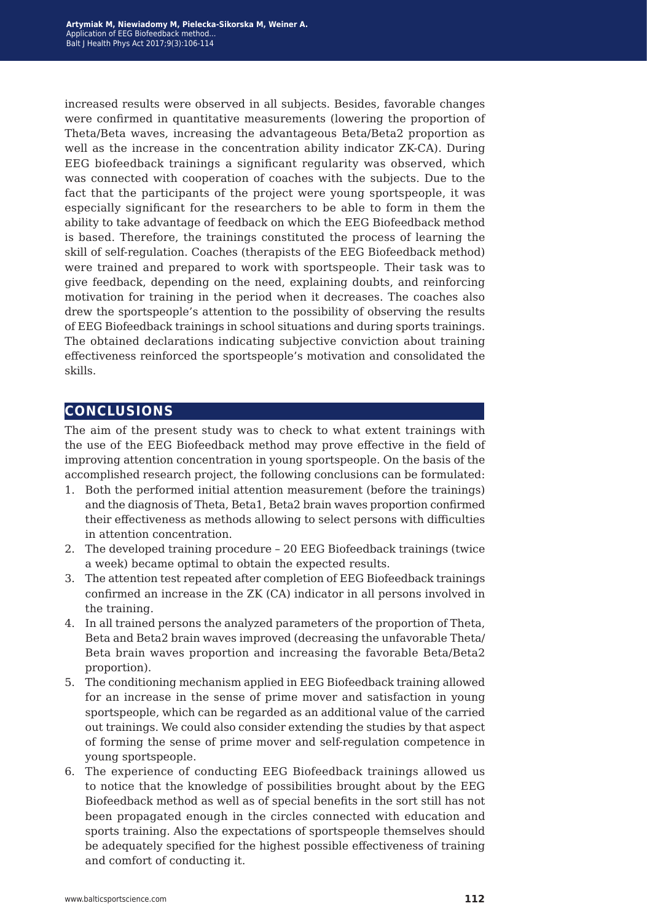increased results were observed in all subjects. Besides, favorable changes were confirmed in quantitative measurements (lowering the proportion of Theta/Beta waves, increasing the advantageous Beta/Beta2 proportion as well as the increase in the concentration ability indicator ZK-CA). During EEG biofeedback trainings a significant regularity was observed, which was connected with cooperation of coaches with the subjects. Due to the fact that the participants of the project were young sportspeople, it was especially significant for the researchers to be able to form in them the ability to take advantage of feedback on which the EEG Biofeedback method is based. Therefore, the trainings constituted the process of learning the skill of self-regulation. Coaches (therapists of the EEG Biofeedback method) were trained and prepared to work with sportspeople. Their task was to give feedback, depending on the need, explaining doubts, and reinforcing motivation for training in the period when it decreases. The coaches also drew the sportspeople's attention to the possibility of observing the results of EEG Biofeedback trainings in school situations and during sports trainings. The obtained declarations indicating subjective conviction about training effectiveness reinforced the sportspeople's motivation and consolidated the skills.

## **conclusions**

The aim of the present study was to check to what extent trainings with the use of the EEG Biofeedback method may prove effective in the field of improving attention concentration in young sportspeople. On the basis of the accomplished research project, the following conclusions can be formulated:

- 1. Both the performed initial attention measurement (before the trainings) and the diagnosis of Theta, Beta1, Beta2 brain waves proportion confirmed their effectiveness as methods allowing to select persons with difficulties in attention concentration.
- 2. The developed training procedure 20 EEG Biofeedback trainings (twice a week) became optimal to obtain the expected results.
- 3. The attention test repeated after completion of EEG Biofeedback trainings confirmed an increase in the ZK (CA) indicator in all persons involved in the training.
- 4. In all trained persons the analyzed parameters of the proportion of Theta, Beta and Beta2 brain waves improved (decreasing the unfavorable Theta/ Beta brain waves proportion and increasing the favorable Beta/Beta2 proportion).
- 5. The conditioning mechanism applied in EEG Biofeedback training allowed for an increase in the sense of prime mover and satisfaction in young sportspeople, which can be regarded as an additional value of the carried out trainings. We could also consider extending the studies by that aspect of forming the sense of prime mover and self-regulation competence in young sportspeople.
- 6. The experience of conducting EEG Biofeedback trainings allowed us to notice that the knowledge of possibilities brought about by the EEG Biofeedback method as well as of special benefits in the sort still has not been propagated enough in the circles connected with education and sports training. Also the expectations of sportspeople themselves should be adequately specified for the highest possible effectiveness of training and comfort of conducting it.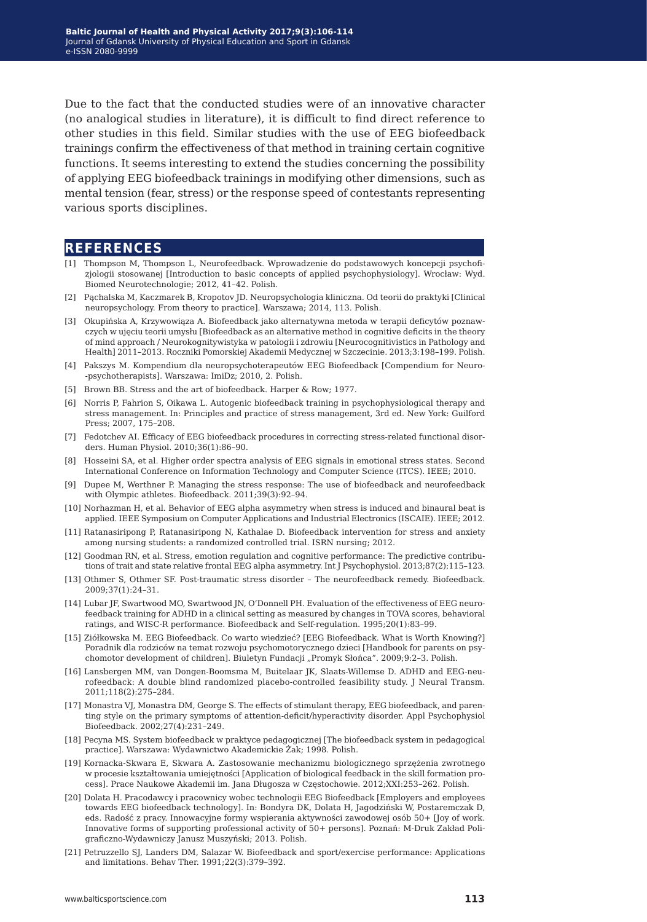Due to the fact that the conducted studies were of an innovative character (no analogical studies in literature), it is difficult to find direct reference to other studies in this field. Similar studies with the use of EEG biofeedback trainings confirm the effectiveness of that method in training certain cognitive functions. It seems interesting to extend the studies concerning the possibility of applying EEG biofeedback trainings in modifying other dimensions, such as mental tension (fear, stress) or the response speed of contestants representing various sports disciplines.

#### **references**

- [1] Thompson M, Thompson L, Neurofeedback. Wprowadzenie do podstawowych koncepcji psychofizjologii stosowanej [Introduction to basic concepts of applied psychophysiology]. Wrocław: Wyd. Biomed Neurotechnologie; 2012, 41–42. Polish.
- [2] Pąchalska M, Kaczmarek B, Kropotov JD. Neuropsychologia kliniczna. Od teorii do praktyki [Clinical neuropsychology. From theory to practice]. Warszawa; 2014, 113. Polish.
- [3] Okupińska A, Krzywowiąza A. Biofeedback jako alternatywna metoda w terapii deficytów poznawczych w ujęciu teorii umysłu [Biofeedback as an alternative method in cognitive deficits in the theory of mind approach / Neurokognitywistyka w patologii i zdrowiu [Neurocognitivistics in Pathology and Health] 2011–2013. Roczniki Pomorskiej Akademii Medycznej w Szczecinie. 2013;3:198–199. Polish.
- [4] Pakszys M. Kompendium dla neuropsychoterapeutów EEG Biofeedback [Compendium for Neuro- -psychotherapists]. Warszawa: ImiDz; 2010, 2. Polish.
- [5] Brown BB. Stress and the art of biofeedback. Harper & Row; 1977.
- [6] Norris P, Fahrion S, Oikawa L. Autogenic biofeedback training in psychophysiological therapy and stress management. In: Principles and practice of stress management, 3rd ed. New York: Guilford Press; 2007, 175–208.
- [7] Fedotchev AI. Efficacy of EEG biofeedback procedures in correcting stress-related functional disorders. Human Physiol. 2010;36(1):86–90.
- [8] Hosseini SA, et al. Higher order spectra analysis of EEG signals in emotional stress states. Second International Conference on Information Technology and Computer Science (ITCS). IEEE; 2010.
- [9] Dupee M, Werthner P. Managing the stress response: The use of biofeedback and neurofeedback with Olympic athletes. Biofeedback. 2011;39(3):92–94.
- [10] Norhazman H, et al. Behavior of EEG alpha asymmetry when stress is induced and binaural beat is applied. IEEE Symposium on Computer Applications and Industrial Electronics (ISCAIE). IEEE; 2012.
- [11] Ratanasiripong P, Ratanasiripong N, Kathalae D. Biofeedback intervention for stress and anxiety among nursing students: a randomized controlled trial. ISRN nursing; 2012.
- [12] Goodman RN, et al. Stress, emotion regulation and cognitive performance: The predictive contributions of trait and state relative frontal EEG alpha asymmetry. Int J Psychophysiol. 2013;87(2):115–123.
- [13] Othmer S, Othmer SF. Post-traumatic stress disorder The neurofeedback remedy. Biofeedback. 2009;37(1):24–31.
- [14] Lubar JF, Swartwood MO, Swartwood JN, O'Donnell PH. Evaluation of the effectiveness of EEG neurofeedback training for ADHD in a clinical setting as measured by changes in TOVA scores, behavioral ratings, and WISC-R performance. Biofeedback and Self-regulation. 1995;20(1):83–99.
- [15] Ziółkowska M. EEG Biofeedback. Co warto wiedzieć? [EEG Biofeedback. What is Worth Knowing?] Poradnik dla rodziców na temat rozwoju psychomotorycznego dzieci [Handbook for parents on psychomotor development of children]. Biuletyn Fundacji "Promyk Słońca". 2009;9:2-3. Polish.
- [16] Lansbergen MM, van Dongen-Boomsma M, Buitelaar JK, Slaats-Willemse D. ADHD and EEG-neurofeedback: A double blind randomized placebo-controlled feasibility study. J Neural Transm. 2011;118(2):275–284.
- [17] Monastra VJ, Monastra DM, George S. The effects of stimulant therapy, EEG biofeedback, and parenting style on the primary symptoms of attention-deficit/hyperactivity disorder. Appl Psychophysiol Biofeedback. 2002;27(4):231–249.
- [18] Pecyna MS. System biofeedback w praktyce pedagogicznej [The biofeedback system in pedagogical practice]. Warszawa: Wydawnictwo Akademickie Żak; 1998. Polish.
- [19] Kornacka-Skwara E, Skwara A. Zastosowanie mechanizmu biologicznego sprzężenia zwrotnego w procesie kształtowania umiejętności [Application of biological feedback in the skill formation process]. Prace Naukowe Akademii im. Jana Długosza w Częstochowie. 2012;XXI:253–262. Polish.
- [20] Dolata H. Pracodawcy i pracownicy wobec technologii EEG Biofeedback [Employers and employees towards EEG biofeedback technology]. In: Bondyra DK, Dolata H, Jagodziński W, Postaremczak D, eds. Radość z pracy. Innowacyjne formy wspierania aktywności zawodowej osób 50+ [Joy of work. Innovative forms of supporting professional activity of 50+ persons]. Poznań: M-Druk Zakład Poligraficzno-Wydawniczy Janusz Muszyński; 2013. Polish.
- [21] Petruzzello SJ, Landers DM, Salazar W. Biofeedback and sport/exercise performance: Applications and limitations. Behav Ther. 1991;22(3):379–392.